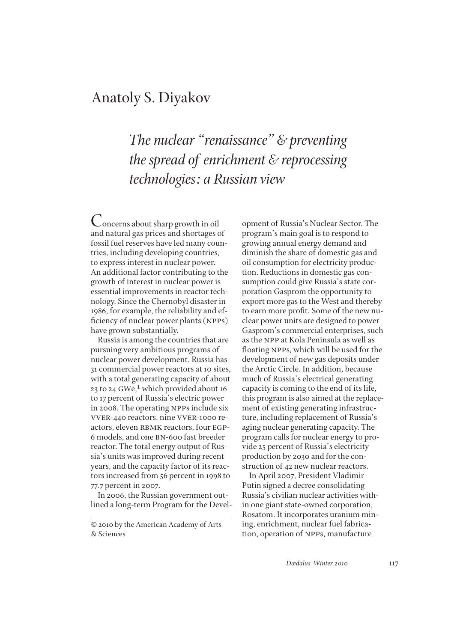## Anatoly S. Diyakov

## *The nuclear "renaissance" & preventing the spread of enrichment & reprocessing technologies: a Russian view*

Concerns about sharp growth in oil and natural gas prices and shortages of fossil fuel reserves have led many countries, including developing countries, to express interest in nuclear power. An additional factor contributing to the growth of interest in nuclear power is essential improvements in reactor technology. Since the Chernobyl disaster in 1986, for example, the reliability and ef ficiency of nuclear power plants (NPPs) have grown substantially.

Russia is among the countries that are pursuing very ambitious programs of nuclear power development. Russia has 31 commercial power reactors at 10 sites, with a total generating capacity of about 23 to 24 GWe,1 which provided about 16 to 17 percent of Russia's electric power in 2008. The operating NPPs include six vver-440 reactors, nine vver-1000 reactors, eleven RBMK reactors, four EGP-6 models, and one bn-600 fast breeder reactor. The total energy output of Russia's units was improved during recent years, and the capacity factor of its reactors increased from 56 percent in 1998 to 77.7 percent in 2007.

In 2006, the Russian government outlined a long-term Program for the Devel-

opment of Russia's Nuclear Sector. The program's main goal is to respond to growing annual energy demand and diminish the share of domestic gas and oil consumption for electricity production. Reductions in domestic gas consumption could give Russia's state corporation Gasprom the opportunity to export more gas to the West and thereby to earn more profit. Some of the new nuclear power units are designed to power Gasprom's commercial enterprises, such as the npp at Kola Peninsula as well as floating npps, which will be used for the development of new gas deposits under the Arctic Circle. In addition, because much of Russia's electrical generating capacity is coming to the end of its life, this program is also aimed at the replacement of existing generating infrastructure, including replacement of Russia's aging nuclear generating capacity. The program calls for nuclear energy to provide 25 percent of Russia's electricity production by 2030 and for the construction of 42 new nuclear reactors.

In April 2007, President Vladimir Putin signed a decree consolidating Russia's civilian nuclear activities within one giant state-owned corporation, Rosatom. It incorporates uranium mining, enrichment, nuclear fuel fabrication, operation of npps, manufacture

*Dædalus Winter 2010* 117

<sup>© 2010</sup> by the American Academy of Arts & Sciences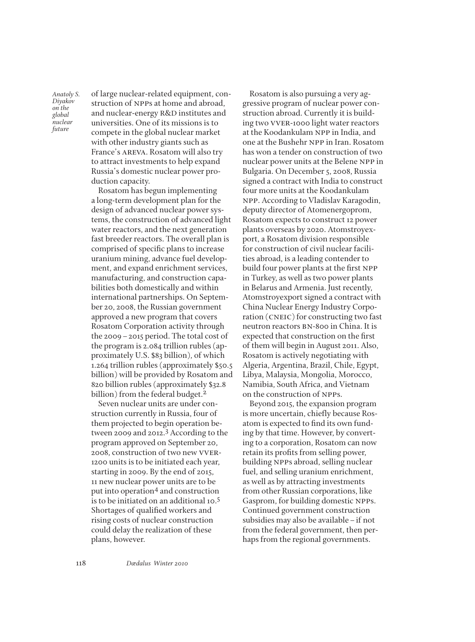of large nuclear-related equipment, construction of npps at home and abroad, and nuclear-energy R&D institutes and universities. One of its missions is to compete in the global nuclear market with other industry giants such as France's AREVA. Rosatom will also try to attract investments to help expand Russia's domestic nuclear power production capacity.

Rosatom has begun implementing a long-term development plan for the design of advanced nuclear power systems, the construction of advanced light water reactors, and the next generation fast breeder reactors. The overall plan is comprised of specific plans to increase uranium mining, advance fuel development, and expand enrichment services, manufacturing, and construction capabilities both domestically and within international partnerships. On September 20, 2008, the Russian government approved a new program that covers Rosatom Corporation activity through the 2009–2015 period. The total cost of the program is 2.084 trillion rubles (approximately U.S. \$83 billion), of which 1.264 trillion rubles (approximately \$50.5 billion) will be provided by Rosatom and 820 billion rubles (approximately \$32.8 billion) from the federal budget.<sup>2</sup>

Seven nuclear units are under construction currently in Russia, four of them projected to begin operation between 2009 and 2012.3 According to the program approved on September 20, 2008, construction of two new vver-1200 units is to be initiated each year, starting in 2009. By the end of 2015, 11 new nuclear power units are to be put into operation4 and construction is to be initiated on an additional 10.5 Shortages of qualified workers and rising costs of nuclear construction could delay the realization of these plans, however.

Rosatom is also pursuing a very aggressive program of nuclear power construction abroad. Currently it is building two VVER-1000 light water reactors at the Koodankulam npp in India, and one at the Bushehr npp in Iran. Rosatom has won a tender on construction of two nuclear power units at the Belene npp in Bulgaria. On December 5, 2008, Russia signed a contract with India to construct four more units at the Koodankulam npp. According to Vladislav Karagodin, deputy director of Atomenergoprom, Rosatom expects to construct 12 power plants overseas by 2020. Atomstroyexport, a Rosatom division responsible for construction of civil nuclear facilities abroad, is a leading contender to build four power plants at the first NPP in Turkey, as well as two power plants in Belarus and Armenia. Just recently, Atomstroyexport signed a contract with China Nuclear Energy Industry Corporation (CNEIC) for constructing two fast neutron reactors bn-800 in China. It is expected that construction on the first of them will begin in August 2011. Also, Rosatom is actively negotiating with Algeria, Argentina, Brazil, Chile, Egypt, Libya, Malaysia, Mongolia, Morocco, Namibia, South Africa, and Vietnam on the construction of npps.

Beyond 2015, the expansion program is more uncertain, chiefly because Rosatom is expected to find its own funding by that time. However, by converting to a corporation, Rosatom can now retain its profits from selling power, building npps abroad, selling nuclear fuel, and selling uranium enrichment, as well as by attracting investments from other Russian corporations, like Gasprom, for building domestic npps. Continued government construction subsidies may also be available–if not from the federal government, then perhaps from the regional governments.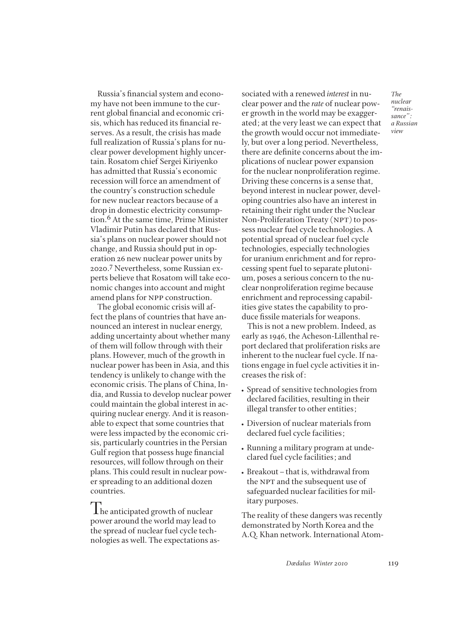Russia's financial system and economy have not been immune to the current global financial and economic crisis, which has reduced its financial reserves. As a result, the crisis has made full realization of Russia's plans for nuclear power development highly uncertain. Rosatom chief Sergei Kiriyenko has admitted that Russia's economic recession will force an amendment of the country's construction schedule for new nuclear reactors because of a drop in domestic electricity consumption.6 At the same time, Prime Minister Vladimir Putin has declared that Russia's plans on nuclear power should not change, and Russia should put in operation 26 new nuclear power units by 2020.7 Nevertheless, some Russian experts believe that Rosatom will take economic changes into account and might amend plans for npp construction.

The global economic crisis will affect the plans of countries that have announced an interest in nuclear energy, adding uncertainty about whether many of them will follow through with their plans. However, much of the growth in nuclear power has been in Asia, and this tendency is unlikely to change with the economic crisis. The plans of China, India, and Russia to develop nuclear power could maintain the global interest in acquiring nuclear energy. And it is reasonable to expect that some countries that were less impacted by the economic crisis, particularly countries in the Persian Gulf region that possess huge financial resources, will follow through on their plans. This could result in nuclear power spreading to an additional dozen countries.

The anticipated growth of nuclear power around the world may lead to the spread of nuclear fuel cycle technologies as well. The expectations associated with a renewed *interest* in nuclear power and the *rate* of nuclear power growth in the world may be exaggerated; at the very least we can expect that the growth would occur not immediately, but over a long period. Nevertheless, there are definite concerns about the implications of nuclear power expansion for the nuclear nonproliferation regime. Driving these concerns is a sense that, beyond interest in nuclear power, developing countries also have an interest in retaining their right under the Nuclear Non-Proliferation Treaty (NPT) to possess nuclear fuel cycle technologies. A potential spread of nuclear fuel cycle technologies, especially technologies for uranium enrichment and for reprocessing spent fuel to separate plutonium, poses a serious concern to the nuclear nonproliferation regime because enrichment and reprocessing capabilities give states the capability to produce fissile materials for weapons.

This is not a new problem. Indeed, as early as 1946, the Acheson-Lillenthal report declared that proliferation risks are inherent to the nuclear fuel cycle. If nations engage in fuel cycle activities it increases the risk of:

- Spread of sensitive technologies from declared facilities, resulting in their illegal transfer to other entities;
- Diversion of nuclear materials from declared fuel cycle facilities;
- Running a military program at undeclared fuel cycle facilities; and
- Breakout–that is, withdrawal from the NPT and the subsequent use of safeguarded nuclear facilities for military purposes.

The reality of these dangers was recently demonstrated by North Korea and the A.Q. Khan network. International Atom-

*Dædalus Winter 2010* 119

*The nuclear "renaissance": a Russian view*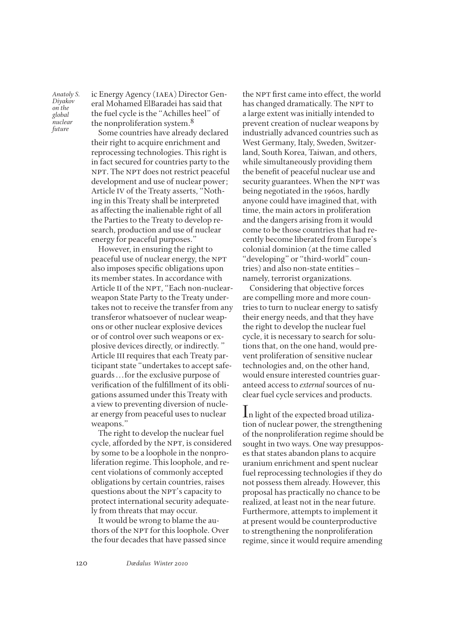ic Energy Agency (IAEA) Director General Mohamed ElBaradei has said that the fuel cycle is the "Achilles heel" of the nonproliferation system.8

Some countries have already declared their right to acquire enrichment and reprocessing technologies. This right is in fact secured for countries party to the NPT. The NPT does not restrict peaceful development and use of nuclear power; Article IV of the Treaty asserts, "Nothing in this Treaty shall be interpreted as affecting the inalienable right of all the Parties to the Treaty to develop research, production and use of nuclear energy for peaceful purposes."

However, in ensuring the right to peaceful use of nuclear energy, the NPT also imposes specific obligations upon its member states. In accordance with Article II of the NPT, "Each non-nuclearweapon State Party to the Treaty undertakes not to receive the transfer from any transferor whatsoever of nuclear weapons or other nuclear explosive devices or of control over such weapons or explosive devices directly, or indirectly. " Article III requires that each Treaty participant state "undertakes to accept safeguards . . . for the exclusive purpose of verification of the fulfillment of its obligations assumed under this Treaty with a view to preventing diversion of nuclear energy from peaceful uses to nuclear weapons."

The right to develop the nuclear fuel cycle, afforded by the NPT, is considered by some to be a loophole in the nonproliferation regime. This loophole, and recent violations of commonly accepted obligations by certain countries, raises questions about the NPT's capacity to protect international security adequately from threats that may occur.

It would be wrong to blame the authors of the NPT for this loophole. Over the four decades that have passed since

the NPT first came into effect, the world has changed dramatically. The NPT to a large extent was initially intended to prevent creation of nuclear weapons by industrially advanced countries such as West Germany, Italy, Sweden, Switzerland, South Korea, Taiwan, and others, while simultaneously providing them the benefit of peaceful nuclear use and security guarantees. When the NPT was being negotiated in the 1960s, hardly anyone could have imagined that, with time, the main actors in proliferation and the dangers arising from it would come to be those countries that had recently become liberated from Europe's colonial dominion (at the time called "developing" or "third-world" countries) and also non-state entities– namely, terrorist organizations.

Considering that objective forces are compelling more and more countries to turn to nuclear energy to satisfy their energy needs, and that they have the right to develop the nuclear fuel cycle, it is necessary to search for solutions that, on the one hand, would prevent proliferation of sensitive nuclear technologies and, on the other hand, would ensure interested countries guaranteed access to *external* sources of nuclear fuel cycle services and products.

In light of the expected broad utilization of nuclear power, the strengthening of the nonproliferation regime should be sought in two ways. One way presupposes that states abandon plans to acquire uranium enrichment and spent nuclear fuel reprocessing technologies if they do not possess them already. However, this proposal has practically no chance to be realized, at least not in the near future. Furthermore, attempts to implement it at present would be counterproductive to strengthening the nonproliferation regime, since it would require amending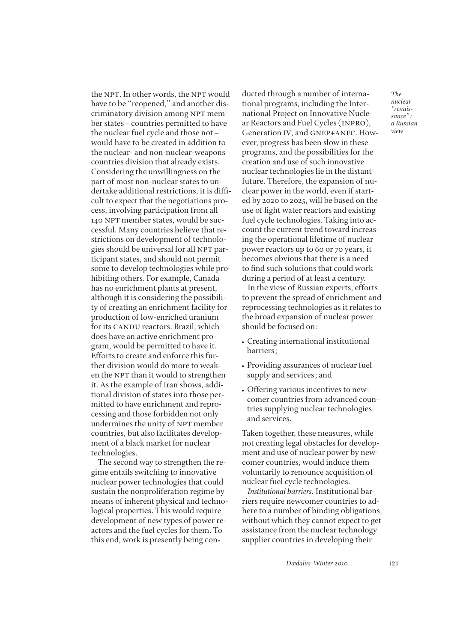the NPT. In other words, the NPT would have to be "reopened," and another discriminatory division among NPT member states–countries permitted to have the nuclear fuel cycle and those not– would have to be created in addition to the nuclear- and non-nuclear-weapons countries division that already exists. Considering the unwillingness on the part of most non-nuclear states to undertake additional restrictions, it is difficult to expect that the negotiations process, involving participation from all 140 NPT member states, would be successful. Many countries believe that restrictions on development of technologies should be universal for all NPT participant states, and should not permit some to develop technologies while prohibiting others. For example, Canada has no enrichment plants at present, although it is considering the possibility of creating an enrichment facility for production of low-enriched uranium for its CANDU reactors. Brazil, which does have an active enrichment program, would be permitted to have it. Efforts to create and enforce this further division would do more to weaken the NPT than it would to strengthen it. As the example of Iran shows, additional division of states into those permitted to have enrichment and reprocessing and those forbidden not only undermines the unity of NPT member countries, but also facilitates development of a black market for nuclear technologies.

The second way to strengthen the regime entails switching to innovative nuclear power technologies that could sustain the nonproliferation regime by means of inherent physical and technological properties. This would require development of new types of power reactors and the fuel cycles for them. To this end, work is presently being conducted through a number of international programs, including the International Project on Innovative Nuclear Reactors and Fuel Cycles (inpro), Generation IV, and GNEP+ANFC. However, progress has been slow in these programs, and the possibilities for the creation and use of such innovative nuclear technologies lie in the distant future. Therefore, the expansion of nuclear power in the world, even if started by 2020 to 2025, will be based on the use of light water reactors and existing fuel cycle technologies. Taking into account the current trend toward increasing the operational lifetime of nuclear power reactors up to 60 or 70 years, it becomes obvious that there is a need to find such solutions that could work during a period of at least a century.

In the view of Russian experts, efforts to prevent the spread of enrichment and reprocessing technologies as it relates to the broad expansion of nuclear power should be focused on:

- Creating international institutional barriers;
- Providing assurances of nuclear fuel supply and services; and
- Offering various incentives to newcomer countries from advanced countries supplying nuclear technologies and services.

Taken together, these measures, while not creating legal obstacles for development and use of nuclear power by newcomer countries, would induce them voluntarily to renounce acquisition of nuclear fuel cycle technologies.

*Institutional barriers.* Institutional barriers require newcomer countries to adhere to a number of binding obligations, without which they cannot expect to get assistance from the nuclear technology supplier countries in developing their

*Dædalus Winter 2010* 121

*The nuclear "renaissance": a Russian view*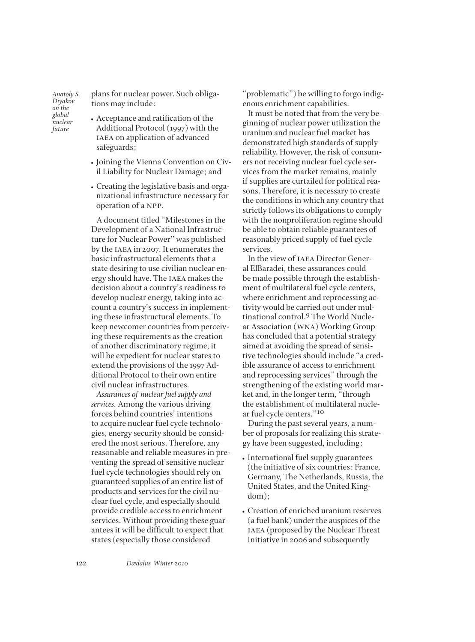plans for nuclear power. Such obligations may include:

- Acceptance and ratification of the Additional Protocol (1997) with the IAEA on application of advanced safeguards;
- Joining the Vienna Convention on Civil Liability for Nuclear Damage; and
- Creating the legislative basis and organizational infrastructure necessary for operation of a npp.

A document titled "Milestones in the Development of a National Infrastructure for Nuclear Power" was published by the IAEA in 2007. It enumerates the basic infrastructural elements that a state desiring to use civilian nuclear energy should have. The IAEA makes the decision about a country's readiness to develop nuclear energy, taking into account a country's success in implementing these infrastructural elements. To keep newcomer countries from perceiving these requirements as the creation of another discriminatory regime, it will be expedient for nuclear states to extend the provisions of the 1997 Additional Protocol to their own entire civil nuclear infrastructures.

*Assurances of nuclear fuel supply and services.* Among the various driving forces behind countries' intentions to acquire nuclear fuel cycle technologies, energy security should be considered the most serious. Therefore, any reasonable and reliable measures in preventing the spread of sensitive nuclear fuel cycle technologies should rely on guaranteed supplies of an entire list of products and services for the civil nuclear fuel cycle, and especially should provide credible access to enrichment services. Without providing these guarantees it will be difficult to expect that states (especially those considered

"problematic") be willing to forgo indigenous enrichment capabilities.

It must be noted that from the very beginning of nuclear power utilization the uranium and nuclear fuel market has demonstrated high standards of supply reliability. However, the risk of consumers not receiving nuclear fuel cycle services from the market remains, mainly if supplies are curtailed for political reasons. Therefore, it is necessary to create the conditions in which any country that strictly follows its obligations to comply with the nonproliferation regime should be able to obtain reliable guarantees of reasonably priced supply of fuel cycle services.

In the view of IAEA Director General ElBaradei, these assurances could be made possible through the establishment of multilateral fuel cycle centers, where enrichment and reprocessing activity would be carried out under multinational control.9 The World Nuclear Association (wna) Working Group has concluded that a potential strategy aimed at avoiding the spread of sensitive technologies should include "a credible assurance of access to enrichment and reprocessing services" through the strengthening of the existing world market and, in the longer term, "through the establishment of multilateral nuclear fuel cycle centers."10

During the past several years, a number of proposals for realizing this strategy have been suggested, including:

- International fuel supply guarantees (the initiative of six countries: France, Germany, The Netherlands, Russia, the United States, and the United Kingdom);
- Creation of enriched uranium reserves (a fuel bank) under the auspices of the IAEA (proposed by the Nuclear Threat Initiative in 2006 and subsequently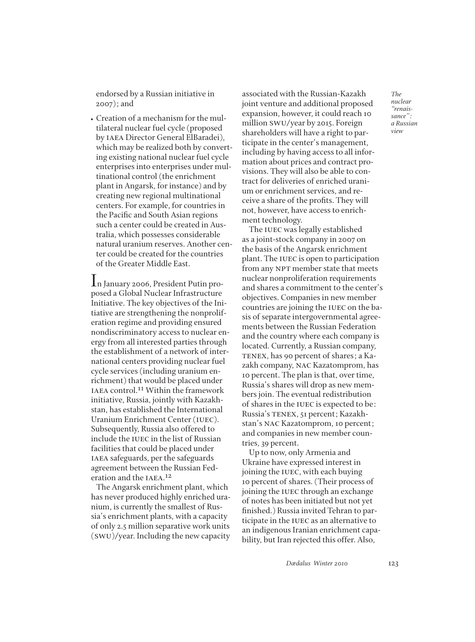endorsed by a Russian initiative in 2007); and

• Creation of a mechanism for the multilateral nuclear fuel cycle (proposed by IAEA Director General ElBaradei), which may be realized both by converting existing national nuclear fuel cycle enterprises into enterprises under multinational control (the enrichment plant in Angarsk, for instance) and by creating new regional multinational centers. For example, for countries in the Pacific and South Asian regions such a center could be created in Australia, which possesses considerable natural uranium reserves. Another center could be created for the countries of the Greater Middle East.

In January 2006, President Putin proposed a Global Nuclear Infrastructure Initiative. The key objectives of the Initiative are strengthening the nonproliferation regime and providing ensured nondiscriminatory access to nuclear energy from all interested parties through the establishment of a network of international centers providing nuclear fuel cycle services (including uranium enrichment) that would be placed under IAEA control.<sup>11</sup> Within the framework initiative, Russia, jointly with Kazakhstan, has established the International Uranium Enrichment Center (iuec). Subsequently, Russia also offered to include the IUEC in the list of Russian facilities that could be placed under IAEA safeguards, per the safeguards agreement between the Russian Federation and the IAEA.<sup>12</sup>

The Angarsk enrichment plant, which has never produced highly enriched uranium, is currently the smallest of Russia's enrichment plants, with a capacity of only 2.5 million separative work units (swu)/year. Including the new capacity

associated with the Russian-Kazakh joint venture and additional proposed expansion, however, it could reach 10 million swu/year by 2015. Foreign shareholders will have a right to participate in the center's management, including by having access to all information about prices and contract provisions. They will also be able to contract for deliveries of enriched uranium or enrichment services, and receive a share of the profits. They will not, however, have access to enrichment technology.

The IUEC was legally established as a joint-stock company in 2007 on the basis of the Angarsk enrichment plant. The IUEC is open to participation from any NPT member state that meets nuclear nonproliferation requirements and shares a commitment to the center's objectives. Companies in new member countries are joining the IUEC on the basis of separate intergovernmental agreements between the Russian Federation and the country where each company is located. Currently, a Russian company, TENEX, has 90 percent of shares; a Kazakh company, nac Kazatomprom, has 10 percent. The plan is that, over time, Russia's shares will drop as new members join. The eventual redistribution of shares in the IUEC is expected to be: Russia's TENEX, 51 percent; Kazakhstan's nac Kazatomprom, 10 percent; and companies in new member countries, 39 percent.

Up to now, only Armenia and Ukraine have expressed interest in joining the IUEC, with each buying 10 percent of shares. (Their process of joining the IUEC through an exchange of notes has been initiated but not yet finished.) Russia invited Tehran to participate in the IUEC as an alternative to an indigenous Iranian enrichment capability, but Iran rejected this offer. Also,

*The nuclear "renaissance": a Russian view*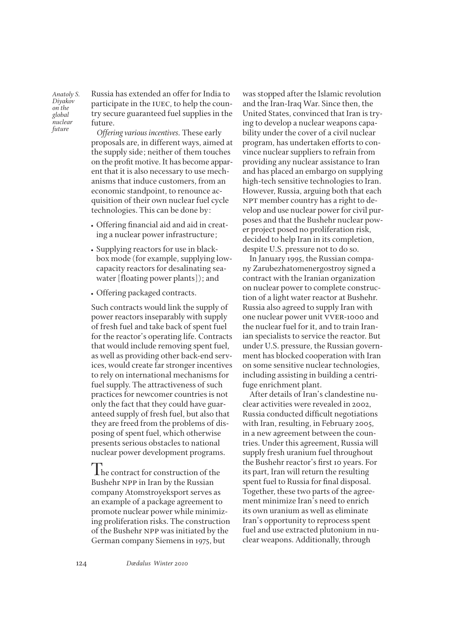Russia has extended an offer for India to participate in the IUEC, to help the country secure guaranteed fuel supplies in the future.

*Offering various incentives.* These early proposals are, in different ways, aimed at the supply side; neither of them touches on the profit motive. It has become apparent that it is also necessary to use mechanisms that induce customers, from an economic standpoint, to renounce acquisition of their own nuclear fuel cycle technologies. This can be done by:

- Offering financial aid and aid in creating a nuclear power infrastructure;
- Supplying reactors for use in blackbox mode (for example, supplying lowcapacity reactors for desalinating seawater [floating power plants]); and
- Offering packaged contracts.

Such contracts would link the supply of power reactors inseparably with supply of fresh fuel and take back of spent fuel for the reactor's operating life. Contracts that would include removing spent fuel, as well as providing other back-end services, would create far stronger incentives to rely on international mechanisms for fuel supply. The attractiveness of such practices for newcomer countries is not only the fact that they could have guaranteed supply of fresh fuel, but also that they are freed from the problems of disposing of spent fuel, which otherwise presents serious obstacles to national nuclear power development programs.

**The contract for construction of the** Bushehr npp in Iran by the Russian company Atomstroyeksport serves as an example of a package agreement to promote nuclear power while minimizing proliferation risks. The construction of the Bushehr npp was initiated by the German company Siemens in 1975, but

was stopped after the Islamic revolution and the Iran-Iraq War. Since then, the United States, convinced that Iran is trying to develop a nuclear weapons capability under the cover of a civil nuclear program, has undertaken efforts to convince nuclear suppliers to refrain from providing any nuclear assistance to Iran and has placed an embargo on supplying high-tech sensitive technologies to Iran. However, Russia, arguing both that each NPT member country has a right to develop and use nuclear power for civil purposes and that the Bushehr nuclear power project posed no proliferation risk, decided to help Iran in its completion, despite U.S. pressure not to do so.

In January 1995, the Russian company Zarubezhatomenergostroy signed a contract with the Iranian organization on nuclear power to complete construction of a light water reactor at Bushehr. Russia also agreed to supply Iran with one nuclear power unit vver-1000 and the nuclear fuel for it, and to train Iranian specialists to service the reactor. But under U.S. pressure, the Russian government has blocked cooperation with Iran on some sensitive nuclear technologies, including assisting in building a centrifuge enrichment plant.

After details of Iran's clandestine nuclear activities were revealed in 2002, Russia conducted difficult negotiations with Iran, resulting, in February 2005, in a new agreement between the countries. Under this agreement, Russia will supply fresh uranium fuel throughout the Bushehr reactor's first 10 years. For its part, Iran will return the resulting spent fuel to Russia for final disposal. Together, these two parts of the agreement minimize Iran's need to enrich its own uranium as well as eliminate Iran's opportunity to reprocess spent fuel and use extracted plutonium in nuclear weapons. Additionally, through